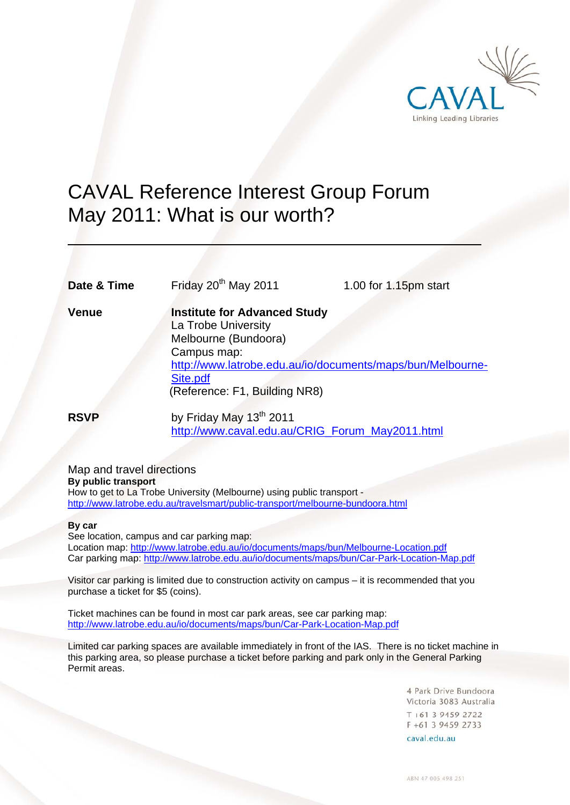

# CAVAL Reference Interest Group Forum May 2011: What is our worth?

**Date & Time** Friday 20<sup>th</sup> May 2011 1.00 for 1.15pm start

 $\overline{a}$ 

**Venue Institute for Advanced Study** La Trobe University Melbourne (Bundoora) Campus map: http://www.latrobe.edu.au/io/documents/maps/bun/Melbourne-Site.pdf (Reference: F1, Building NR8)

**RSVP** by Friday May 13<sup>th</sup> 2011 http://www.caval.edu.au/CRIG\_Forum\_May2011.html

Map and travel directions **By public transport**  How to get to La Trobe University (Melbourne) using public transport http://www.latrobe.edu.au/travelsmart/public-transport/melbourne-bundoora.html

#### **By car**

See location, campus and car parking map: Location map: http://www.latrobe.edu.au/io/documents/maps/bun/Melbourne-Location.pdf Car parking map: http://www.latrobe.edu.au/io/documents/maps/bun/Car-Park-Location-Map.pdf

Visitor car parking is limited due to construction activity on campus – it is recommended that you purchase a ticket for \$5 (coins).

Ticket machines can be found in most car park areas, see car parking map: http://www.latrobe.edu.au/io/documents/maps/bun/Car-Park-Location-Map.pdf

Limited car parking spaces are available immediately in front of the IAS. There is no ticket machine in this parking area, so please purchase a ticket before parking and park only in the General Parking Permit areas.

> 4 Park Drive Bundoora Victoria 3083 Australia  $T + 61$  3 9459 2722 F +61 3 9459 2733

caval edu au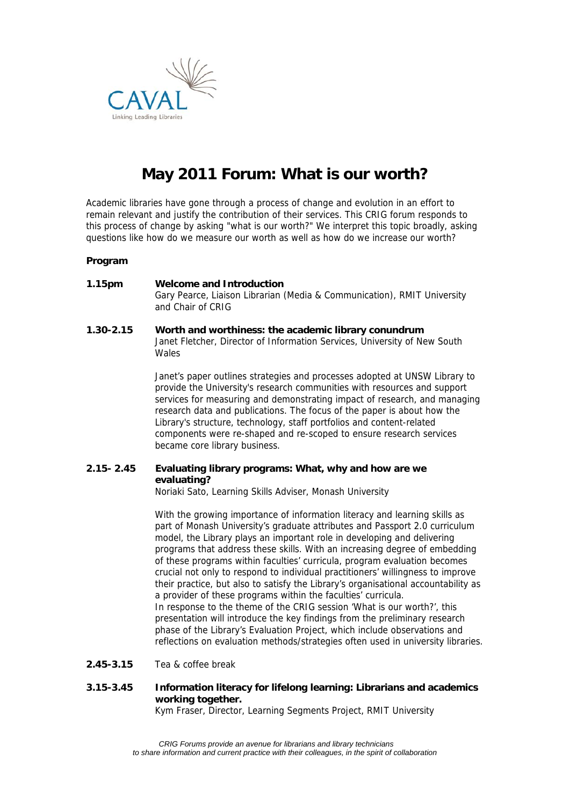

## **May 2011 Forum: What is our worth?**

Academic libraries have gone through a process of change and evolution in an effort to remain relevant and justify the contribution of their services. This CRIG forum responds to this process of change by asking "what is our worth?" We interpret this topic broadly, asking questions like how do we measure our worth as well as how do we increase our worth?

#### **Program**

- **1.15pm Welcome and Introduction** Gary Pearce, Liaison Librarian (Media & Communication), RMIT University and Chair of CRIG
- **1.30-2.15 Worth and worthiness: the academic library conundrum**  Janet Fletcher, Director of Information Services, University of New South Wales

Janet's paper outlines strategies and processes adopted at UNSW Library to provide the University's research communities with resources and support services for measuring and demonstrating impact of research, and managing research data and publications. The focus of the paper is about how the Library's structure, technology, staff portfolios and content-related components were re-shaped and re-scoped to ensure research services became core library business.

### **2.15- 2.45 Evaluating library programs: What, why and how are we evaluating?**

Noriaki Sato, Learning Skills Adviser, Monash University

With the growing importance of information literacy and learning skills as part of Monash University's graduate attributes and Passport 2.0 curriculum model, the Library plays an important role in developing and delivering programs that address these skills. With an increasing degree of embedding of these programs within faculties' curricula, program evaluation becomes crucial not only to respond to individual practitioners' willingness to improve their practice, but also to satisfy the Library's organisational accountability as a provider of these programs within the faculties' curricula. In response to the theme of the CRIG session 'What is our worth?', this presentation will introduce the key findings from the preliminary research phase of the Library's Evaluation Project, which include observations and reflections on evaluation methods/strategies often used in university libraries.

- **2.45-3.15** Tea & coffee break
- **3.15-3.45 Information literacy for lifelong learning: Librarians and academics working together.**

Kym Fraser, Director, Learning Segments Project, RMIT University